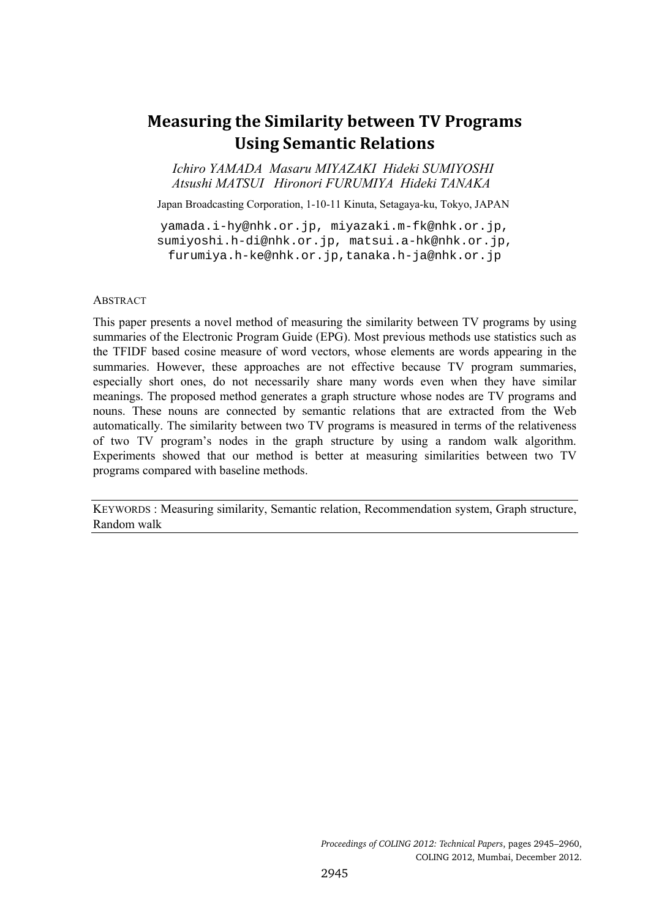# **Measuring the Similarity between TV Programs Using Semantic Relations**

*Ichiro YAMADA Masaru MIYAZAKI Hideki SUMIYOSHI Atsushi MATSUI Hironori FURUMIYA Hideki TANAKA* 

Japan Broadcasting Corporation, 1-10-11 Kinuta, Setagaya-ku, Tokyo, JAPAN

yamada.i-hy@nhk.or.jp, miyazaki.m-fk@nhk.or.jp, sumiyoshi.h-di@nhk.or.jp, matsui.a-hk@nhk.or.jp, furumiya.h-ke@nhk.or.jp,tanaka.h-ja@nhk.or.jp

#### ABSTRACT

 $\overline{\phantom{a}}$ 

This paper presents a novel method of measuring the similarity between TV programs by using summaries of the Electronic Program Guide (EPG). Most previous methods use statistics such as the TFIDF based cosine measure of word vectors, whose elements are words appearing in the summaries. However, these approaches are not effective because TV program summaries, especially short ones, do not necessarily share many words even when they have similar meanings. The proposed method generates a graph structure whose nodes are TV programs and nouns. These nouns are connected by semantic relations that are extracted from the Web automatically. The similarity between two TV programs is measured in terms of the relativeness of two TV program's nodes in the graph structure by using a random walk algorithm. Experiments showed that our method is better at measuring similarities between two TV programs compared with baseline methods.

KEYWORDS : Measuring similarity, Semantic relation, Recommendation system, Graph structure, Random walk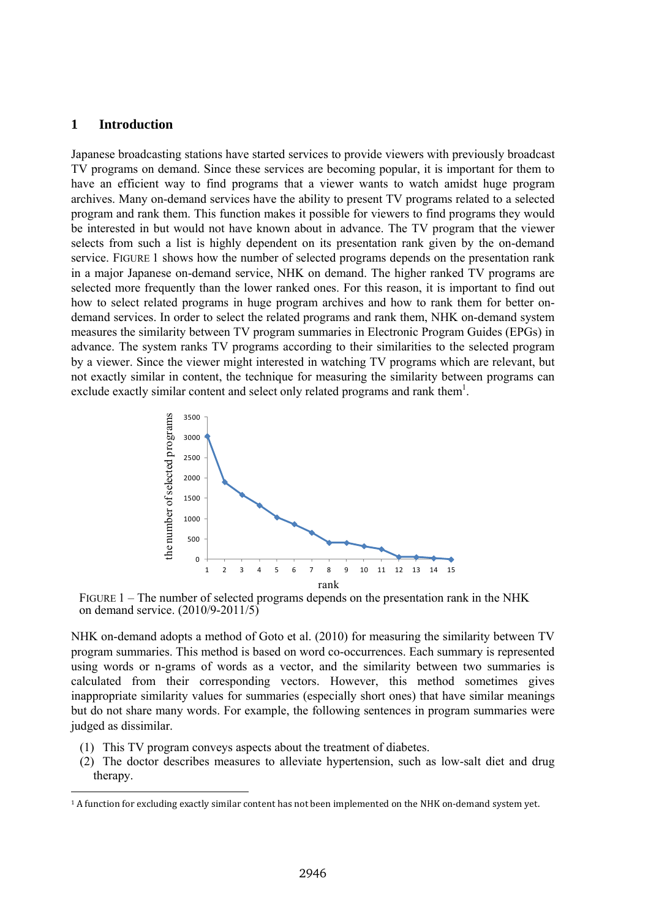#### **1 Introduction**

ī

Japanese broadcasting stations have started services to provide viewers with previously broadcast TV programs on demand. Since these services are becoming popular, it is important for them to have an efficient way to find programs that a viewer wants to watch amidst huge program archives. Many on-demand services have the ability to present TV programs related to a selected program and rank them. This function makes it possible for viewers to find programs they would be interested in but would not have known about in advance. The TV program that the viewer selects from such a list is highly dependent on its presentation rank given by the on-demand service. FIGURE 1 shows how the number of selected programs depends on the presentation rank in a major Japanese on-demand service, NHK on demand. The higher ranked TV programs are selected more frequently than the lower ranked ones. For this reason, it is important to find out how to select related programs in huge program archives and how to rank them for better ondemand services. In order to select the related programs and rank them, NHK on-demand system measures the similarity between TV program summaries in Electronic Program Guides (EPGs) in advance. The system ranks TV programs according to their similarities to the selected program by a viewer. Since the viewer might interested in watching TV programs which are relevant, but not exactly similar in content, the technique for measuring the similarity between programs can exclude exactly similar content and select only related programs and rank them<sup>1</sup>.



FIGURE 1 – The number of selected programs depends on the presentation rank in the NHK on demand service. (2010/9-2011/5)

NHK on-demand adopts a method of Goto et al. (2010) for measuring the similarity between TV program summaries. This method is based on word co-occurrences. Each summary is represented using words or n-grams of words as a vector, and the similarity between two summaries is calculated from their corresponding vectors. However, this method sometimes gives inappropriate similarity values for summaries (especially short ones) that have similar meanings but do not share many words. For example, the following sentences in program summaries were judged as dissimilar.

- (1) This TV program conveys aspects about the treatment of diabetes.
- (2) The doctor describes measures to alleviate hypertension, such as low-salt diet and drug therapy.

<sup>&</sup>lt;sup>1</sup> A function for excluding exactly similar content has not been implemented on the NHK on-demand system yet.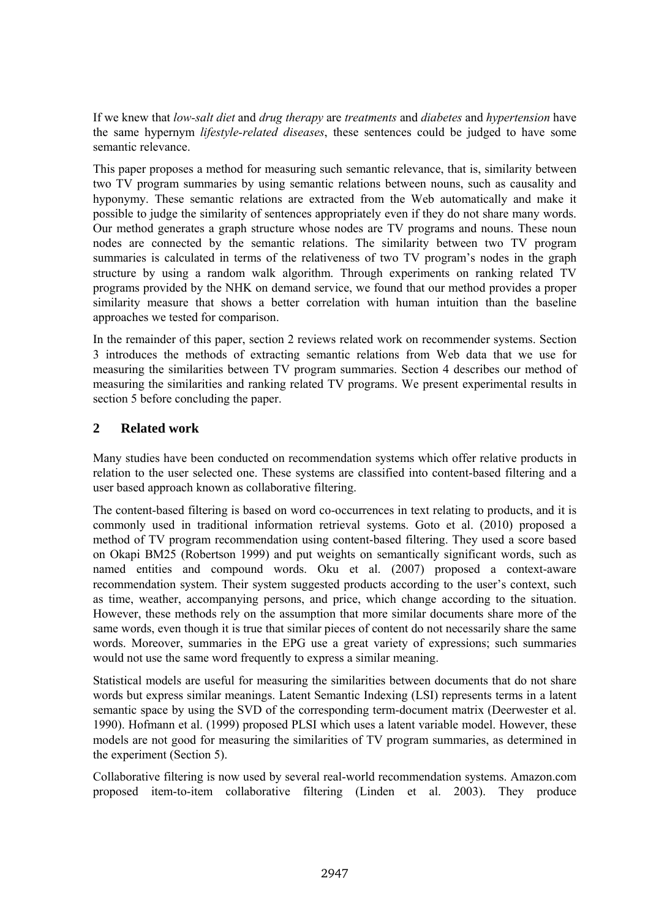If we knew that *low-salt diet* and *drug therapy* are *treatments* and *diabetes* and *hypertension* have the same hypernym *lifestyle-related diseases*, these sentences could be judged to have some semantic relevance.

This paper proposes a method for measuring such semantic relevance, that is, similarity between two TV program summaries by using semantic relations between nouns, such as causality and hyponymy. These semantic relations are extracted from the Web automatically and make it possible to judge the similarity of sentences appropriately even if they do not share many words. Our method generates a graph structure whose nodes are TV programs and nouns. These noun nodes are connected by the semantic relations. The similarity between two TV program summaries is calculated in terms of the relativeness of two TV program's nodes in the graph structure by using a random walk algorithm. Through experiments on ranking related TV programs provided by the NHK on demand service, we found that our method provides a proper similarity measure that shows a better correlation with human intuition than the baseline approaches we tested for comparison.

In the remainder of this paper, section 2 reviews related work on recommender systems. Section 3 introduces the methods of extracting semantic relations from Web data that we use for measuring the similarities between TV program summaries. Section 4 describes our method of measuring the similarities and ranking related TV programs. We present experimental results in section 5 before concluding the paper.

# **2 Related work**

Many studies have been conducted on recommendation systems which offer relative products in relation to the user selected one. These systems are classified into content-based filtering and a user based approach known as collaborative filtering.

The content-based filtering is based on word co-occurrences in text relating to products, and it is commonly used in traditional information retrieval systems. Goto et al. (2010) proposed a method of TV program recommendation using content-based filtering. They used a score based on Okapi BM25 (Robertson 1999) and put weights on semantically significant words, such as named entities and compound words. Oku et al. (2007) proposed a context-aware recommendation system. Their system suggested products according to the user's context, such as time, weather, accompanying persons, and price, which change according to the situation. However, these methods rely on the assumption that more similar documents share more of the same words, even though it is true that similar pieces of content do not necessarily share the same words. Moreover, summaries in the EPG use a great variety of expressions; such summaries would not use the same word frequently to express a similar meaning.

Statistical models are useful for measuring the similarities between documents that do not share words but express similar meanings. Latent Semantic Indexing (LSI) represents terms in a latent semantic space by using the SVD of the corresponding term-document matrix (Deerwester et al. 1990). Hofmann et al. (1999) proposed PLSI which uses a latent variable model. However, these models are not good for measuring the similarities of TV program summaries, as determined in the experiment (Section 5).

Collaborative filtering is now used by several real-world recommendation systems. Amazon.com proposed item-to-item collaborative filtering (Linden et al. 2003). They produce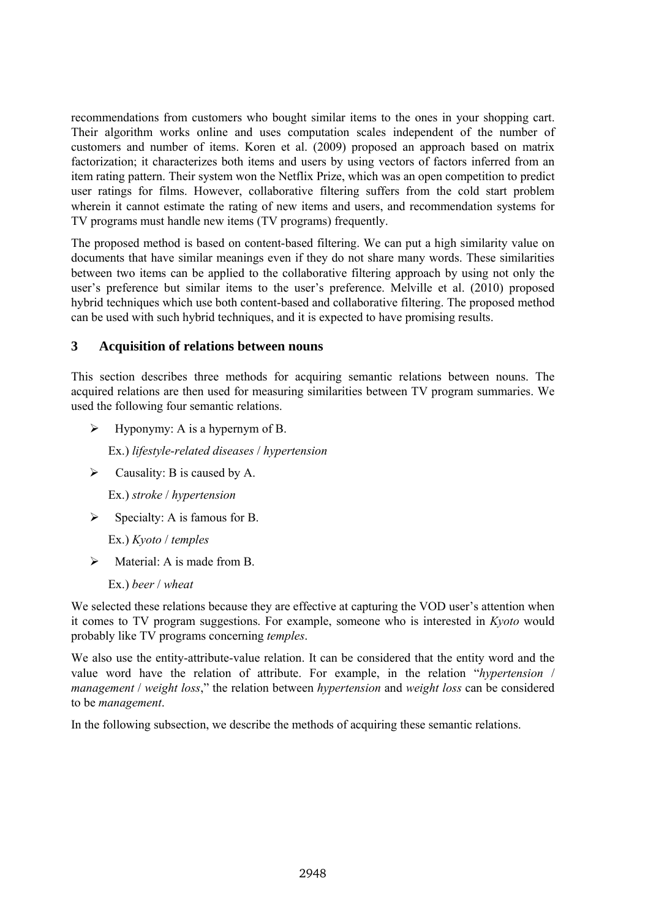recommendations from customers who bought similar items to the ones in your shopping cart. Their algorithm works online and uses computation scales independent of the number of customers and number of items. Koren et al. (2009) proposed an approach based on matrix factorization; it characterizes both items and users by using vectors of factors inferred from an item rating pattern. Their system won the Netflix Prize, which was an open competition to predict user ratings for films. However, collaborative filtering suffers from the cold start problem wherein it cannot estimate the rating of new items and users, and recommendation systems for TV programs must handle new items (TV programs) frequently.

The proposed method is based on content-based filtering. We can put a high similarity value on documents that have similar meanings even if they do not share many words. These similarities between two items can be applied to the collaborative filtering approach by using not only the user's preference but similar items to the user's preference. Melville et al. (2010) proposed hybrid techniques which use both content-based and collaborative filtering. The proposed method can be used with such hybrid techniques, and it is expected to have promising results.

#### **3 Acquisition of relations between nouns**

This section describes three methods for acquiring semantic relations between nouns. The acquired relations are then used for measuring similarities between TV program summaries. We used the following four semantic relations.

Hyponymy: A is a hypernym of B.

Ex.) *lifestyle-related diseases* / *hypertension*

 $\triangleright$  Causality: B is caused by A.

Ex.) *stroke* / *hypertension*

 $\triangleright$  Specialty: A is famous for B.

Ex.) *Kyoto* / *temples*

Material: A is made from B.

Ex.) *beer* / *wheat*

We selected these relations because they are effective at capturing the VOD user's attention when it comes to TV program suggestions. For example, someone who is interested in *Kyoto* would probably like TV programs concerning *temples*.

We also use the entity-attribute-value relation. It can be considered that the entity word and the value word have the relation of attribute. For example, in the relation "*hypertension* / *management* / *weight loss*," the relation between *hypertension* and *weight loss* can be considered to be *management*.

In the following subsection, we describe the methods of acquiring these semantic relations.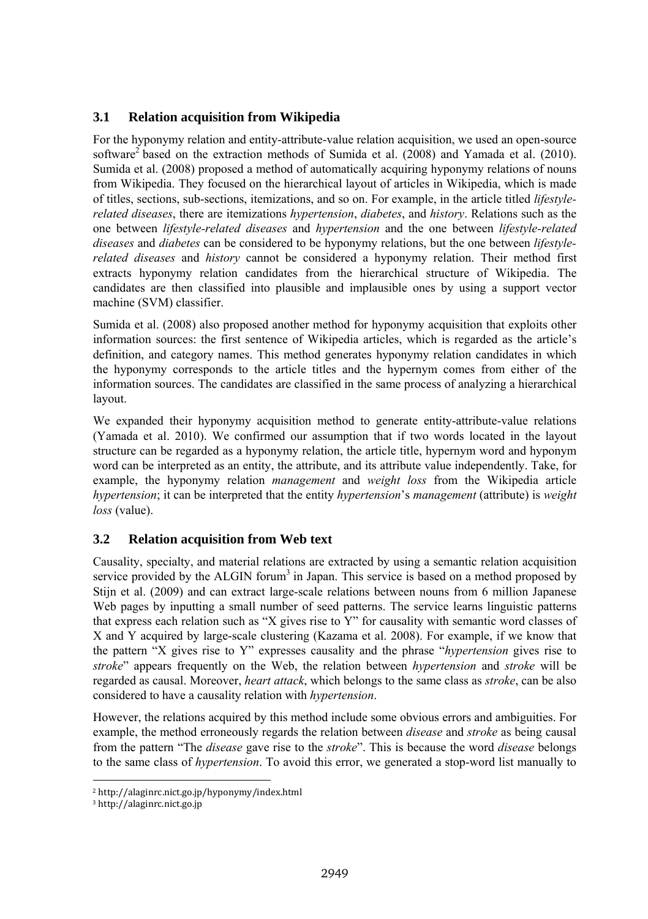# **3.1 Relation acquisition from Wikipedia**

For the hyponymy relation and entity-attribute-value relation acquisition, we used an open-source software<sup>2</sup> based on the extraction methods of Sumida et al. (2008) and Yamada et al. (2010). Sumida et al. (2008) proposed a method of automatically acquiring hyponymy relations of nouns from Wikipedia. They focused on the hierarchical layout of articles in Wikipedia, which is made of titles, sections, sub-sections, itemizations, and so on. For example, in the article titled *lifestylerelated diseases*, there are itemizations *hypertension*, *diabetes*, and *history*. Relations such as the one between *lifestyle-related diseases* and *hypertension* and the one between *lifestyle-related diseases* and *diabetes* can be considered to be hyponymy relations, but the one between *lifestylerelated diseases* and *history* cannot be considered a hyponymy relation. Their method first extracts hyponymy relation candidates from the hierarchical structure of Wikipedia. The candidates are then classified into plausible and implausible ones by using a support vector machine (SVM) classifier.

Sumida et al. (2008) also proposed another method for hyponymy acquisition that exploits other information sources: the first sentence of Wikipedia articles, which is regarded as the article's definition, and category names. This method generates hyponymy relation candidates in which the hyponymy corresponds to the article titles and the hypernym comes from either of the information sources. The candidates are classified in the same process of analyzing a hierarchical layout.

We expanded their hyponymy acquisition method to generate entity-attribute-value relations (Yamada et al. 2010). We confirmed our assumption that if two words located in the layout structure can be regarded as a hyponymy relation, the article title, hypernym word and hyponym word can be interpreted as an entity, the attribute, and its attribute value independently. Take, for example, the hyponymy relation *management* and *weight loss* from the Wikipedia article *hypertension*; it can be interpreted that the entity *hypertension*'s *management* (attribute) is *weight loss* (value).

## **3.2 Relation acquisition from Web text**

Causality, specialty, and material relations are extracted by using a semantic relation acquisition service provided by the ALGIN forum<sup>3</sup> in Japan. This service is based on a method proposed by Stijn et al. (2009) and can extract large-scale relations between nouns from 6 million Japanese Web pages by inputting a small number of seed patterns. The service learns linguistic patterns that express each relation such as "X gives rise to Y" for causality with semantic word classes of X and Y acquired by large-scale clustering (Kazama et al. 2008). For example, if we know that the pattern "X gives rise to Y" expresses causality and the phrase "*hypertension* gives rise to *stroke*" appears frequently on the Web, the relation between *hypertension* and *stroke* will be regarded as causal. Moreover, *heart attack*, which belongs to the same class as *stroke*, can be also considered to have a causality relation with *hypertension*.

However, the relations acquired by this method include some obvious errors and ambiguities. For example, the method erroneously regards the relation between *disease* and *stroke* as being causal from the pattern "The *disease* gave rise to the *stroke*". This is because the word *disease* belongs to the same class of *hypertension*. To avoid this error, we generated a stop-word list manually to

ī

<sup>ʹ</sup> http://alaginrc.nict.go.jp/hyponymy/index.html 

<sup>&</sup>lt;sup>3</sup> http://alaginrc.nict.go.jp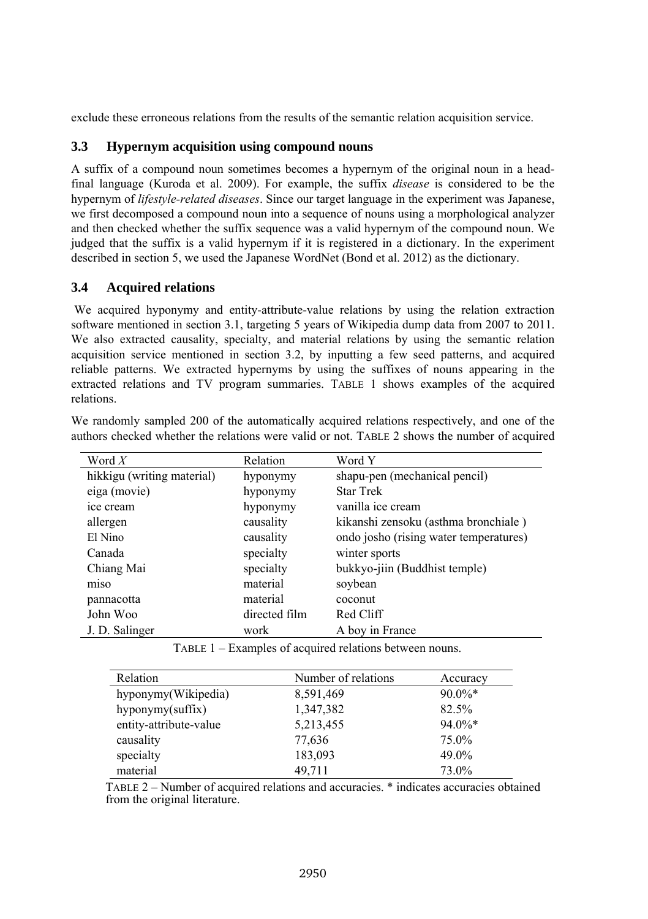exclude these erroneous relations from the results of the semantic relation acquisition service.

#### **3.3 Hypernym acquisition using compound nouns**

A suffix of a compound noun sometimes becomes a hypernym of the original noun in a headfinal language (Kuroda et al. 2009). For example, the suffix *disease* is considered to be the hypernym of *lifestyle-related diseases*. Since our target language in the experiment was Japanese, we first decomposed a compound noun into a sequence of nouns using a morphological analyzer and then checked whether the suffix sequence was a valid hypernym of the compound noun. We judged that the suffix is a valid hypernym if it is registered in a dictionary. In the experiment described in section 5, we used the Japanese WordNet (Bond et al. 2012) as the dictionary.

## **3.4 Acquired relations**

We acquired hyponymy and entity-attribute-value relations by using the relation extraction software mentioned in section 3.1, targeting 5 years of Wikipedia dump data from 2007 to 2011. We also extracted causality, specialty, and material relations by using the semantic relation acquisition service mentioned in section 3.2, by inputting a few seed patterns, and acquired reliable patterns. We extracted hypernyms by using the suffixes of nouns appearing in the extracted relations and TV program summaries. TABLE 1 shows examples of the acquired relations.

| Word $X$                   | Relation      | Word Y                                 |
|----------------------------|---------------|----------------------------------------|
| hikkigu (writing material) | hyponymy      | shapu-pen (mechanical pencil)          |
| eiga (movie)               | hyponymy      | <b>Star Trek</b>                       |
| ice cream                  | hyponymy      | vanilla ice cream                      |
| allergen                   | causality     | kikanshi zensoku (asthma bronchiale)   |
| El Nino                    | causality     | ondo josho (rising water temperatures) |
| Canada                     | specialty     | winter sports                          |
| Chiang Mai                 | specialty     | bukkyo-jiin (Buddhist temple)          |
| miso                       | material      | soybean                                |
| pannacotta                 | material      | coconut                                |
| John Woo                   | directed film | Red Cliff                              |
| J. D. Salinger             | work          | A boy in France                        |

We randomly sampled 200 of the automatically acquired relations respectively, and one of the authors checked whether the relations were valid or not. TABLE 2 shows the number of acquired

TABLE 1 – Examples of acquired relations between nouns.

| Relation               | Number of relations | Accuracy  |
|------------------------|---------------------|-----------|
| hyponymy(Wikipedia)    | 8,591,469           | $90.0\%*$ |
| hyponymy(suffix)       | 1,347,382           | 82.5%     |
| entity-attribute-value | 5,213,455           | $94.0\%*$ |
| causality              | 77,636              | 75.0%     |
| specialty              | 183,093             | 49.0%     |
| material               | 49,711              | 73.0%     |

TABLE 2 – Number of acquired relations and accuracies. \* indicates accuracies obtained from the original literature.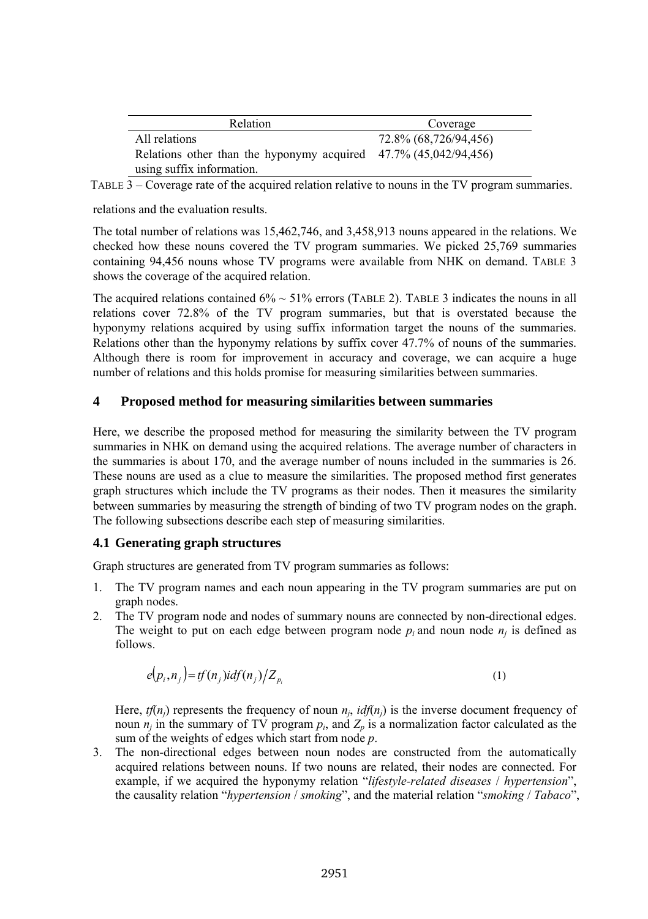| Relation                                                            | Coverage              |  |
|---------------------------------------------------------------------|-----------------------|--|
| All relations                                                       | 72.8% (68,726/94,456) |  |
| Relations other than the hyponymy acquired $47.7\%$ (45,042/94,456) |                       |  |
| using suffix information.                                           |                       |  |

TABLE 3 – Coverage rate of the acquired relation relative to nouns in the TV program summaries.

relations and the evaluation results.

The total number of relations was 15,462,746, and 3,458,913 nouns appeared in the relations. We checked how these nouns covered the TV program summaries. We picked 25,769 summaries containing 94,456 nouns whose TV programs were available from NHK on demand. TABLE 3 shows the coverage of the acquired relation.

The acquired relations contained  $6\% \sim 51\%$  errors (TABLE 2). TABLE 3 indicates the nouns in all relations cover 72.8% of the TV program summaries, but that is overstated because the hyponymy relations acquired by using suffix information target the nouns of the summaries. Relations other than the hyponymy relations by suffix cover 47.7% of nouns of the summaries. Although there is room for improvement in accuracy and coverage, we can acquire a huge number of relations and this holds promise for measuring similarities between summaries.

## **4 Proposed method for measuring similarities between summaries**

Here, we describe the proposed method for measuring the similarity between the TV program summaries in NHK on demand using the acquired relations. The average number of characters in the summaries is about 170, and the average number of nouns included in the summaries is 26. These nouns are used as a clue to measure the similarities. The proposed method first generates graph structures which include the TV programs as their nodes. Then it measures the similarity between summaries by measuring the strength of binding of two TV program nodes on the graph. The following subsections describe each step of measuring similarities.

#### **4.1 Generating graph structures**

Graph structures are generated from TV program summaries as follows:

- 1. The TV program names and each noun appearing in the TV program summaries are put on graph nodes.
- 2. The TV program node and nodes of summary nouns are connected by non-directional edges. The weight to put on each edge between program node  $p_i$  and noun node  $n_i$  is defined as follows.

$$
e(p_i, n_j) = tf(n_j) i df(n_j) / Z_{p_i}
$$
\n(1)

Here,  $tf(n_i)$  represents the frequency of noun  $n_i$ ,  $idf(n_i)$  is the inverse document frequency of noun  $n_i$  in the summary of TV program  $p_i$ , and  $Z_p$  is a normalization factor calculated as the sum of the weights of edges which start from node *p*.

3. The non-directional edges between noun nodes are constructed from the automatically acquired relations between nouns. If two nouns are related, their nodes are connected. For example, if we acquired the hyponymy relation "*lifestyle-related diseases* / *hypertension*", the causality relation "*hypertension* / *smoking*", and the material relation "*smoking* / *Tabaco*",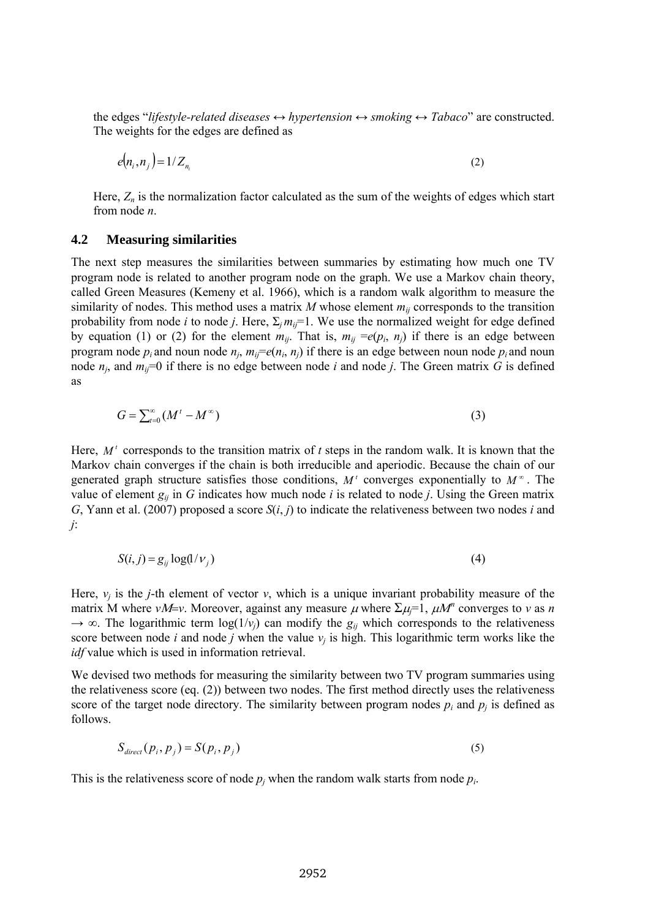the edges "*lifestyle-related diseases*  $\leftrightarrow$  *hypertension*  $\leftrightarrow$  *smoking*  $\leftrightarrow$  *Tabaco*" are constructed. The weights for the edges are defined as

$$
e(n_i, n_j) = 1/Z_{n_i} \tag{2}
$$

Here, *Zn* is the normalization factor calculated as the sum of the weights of edges which start from node *n*.

## **4.2 Measuring similarities**

The next step measures the similarities between summaries by estimating how much one TV program node is related to another program node on the graph. We use a Markov chain theory, called Green Measures (Kemeny et al. 1966), which is a random walk algorithm to measure the similarity of nodes. This method uses a matrix  $M$  whose element  $m_{ii}$  corresponds to the transition probability from node *i* to node *j*. Here,  $\Sigma_i m_i = 1$ . We use the normalized weight for edge defined by equation (1) or (2) for the element  $m_{ij}$ . That is,  $m_{ij} = e(p_i, n_j)$  if there is an edge between program node  $p_i$  and noun node  $n_j$ ,  $m_i = e(n_i, n_j)$  if there is an edge between noun node  $p_i$  and noun node  $n_j$ , and  $m_{ij}=0$  if there is no edge between node *i* and node *j*. The Green matrix *G* is defined as

$$
G = \sum_{t=0}^{\infty} (M^t - M^{\infty})
$$
 (3)

Here,  $M<sup>t</sup>$  corresponds to the transition matrix of  $t$  steps in the random walk. It is known that the Markov chain converges if the chain is both irreducible and aperiodic. Because the chain of our generated graph structure satisfies those conditions,  $M'$  converges exponentially to  $M^{\infty}$ . The value of element  $g_{ii}$  in *G* indicates how much node *i* is related to node *j*. Using the Green matrix *G*, Yann et al. (2007) proposed a score *S*(*i*, *j*) to indicate the relativeness between two nodes *i* and *j*:

$$
S(i, j) = g_{ij} \log(1/\nu_j) \tag{4}
$$

Here,  $v_i$  is the *j*-th element of vector *v*, which is a unique invariant probability measure of the matrix M where  $vM=v$ . Moreover, against any measure  $\mu$  where  $\Sigma \mu = 1$ ,  $\mu M^n$  converges to *v* as *n*  $\rightarrow \infty$ . The logarithmic term log( $1/v_i$ ) can modify the  $g_i$  which corresponds to the relativeness score between node *i* and node *j* when the value *νj* is high. This logarithmic term works like the *idf* value which is used in information retrieval.

We devised two methods for measuring the similarity between two TV program summaries using the relativeness score (eq. (2)) between two nodes. The first method directly uses the relativeness score of the target node directory. The similarity between program nodes  $p_i$  and  $p_j$  is defined as follows.

$$
S_{\text{direct}}(p_i, p_j) = S(p_i, p_j) \tag{5}
$$

This is the relativeness score of node  $p_i$  when the random walk starts from node  $p_i$ .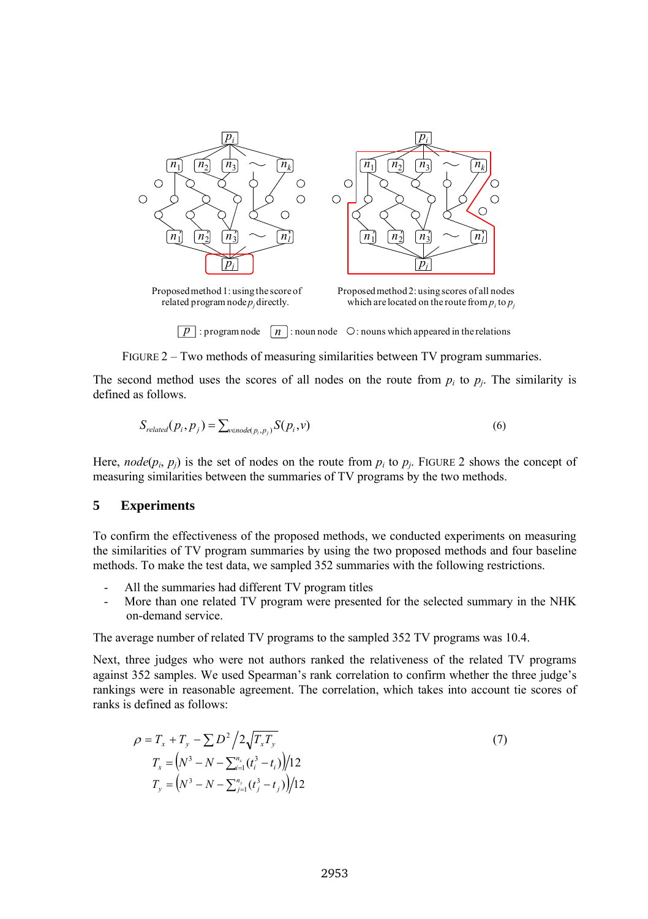

Proposed method 1: using the score of related program node *p<sup>j</sup>* directly.

Proposed method 2: using scores of all nodes which are located on the route from  $p_i$  to  $p_j$ 

 $\boxed{p}$ : program node  $\boxed{n}$ : noun node  $\degree$  : nouns which appeared in the relations

FIGURE 2 – Two methods of measuring similarities between TV program summaries.

The second method uses the scores of all nodes on the route from  $p_i$  to  $p_j$ . The similarity is defined as follows.

$$
S_{related}(p_i, p_j) = \sum_{v \in node(p_i, p_j)} S(p_i, v)
$$
\n
$$
(6)
$$

Here, *node*( $p_i$ ,  $p_j$ ) is the set of nodes on the route from  $p_i$  to  $p_j$ . FIGURE 2 shows the concept of measuring similarities between the summaries of TV programs by the two methods.

#### **5 Experiments**

To confirm the effectiveness of the proposed methods, we conducted experiments on measuring the similarities of TV program summaries by using the two proposed methods and four baseline methods. To make the test data, we sampled 352 summaries with the following restrictions.

- All the summaries had different TV program titles
- More than one related TV program were presented for the selected summary in the NHK on-demand service.

The average number of related TV programs to the sampled 352 TV programs was 10.4.

Next, three judges who were not authors ranked the relativeness of the related TV programs against 352 samples. We used Spearman's rank correlation to confirm whether the three judge's rankings were in reasonable agreement. The correlation, which takes into account tie scores of ranks is defined as follows:

$$
\rho = T_x + T_y - \sum D^2 / 2\sqrt{T_x T_y}
$$
  
\n
$$
T_x = (N^3 - N - \sum_{i=1}^{n_x} (t_i^3 - t_i)) / 12
$$
  
\n
$$
T_y = (N^3 - N - \sum_{j=1}^{n_y} (t_j^3 - t_j)) / 12
$$
\n(7)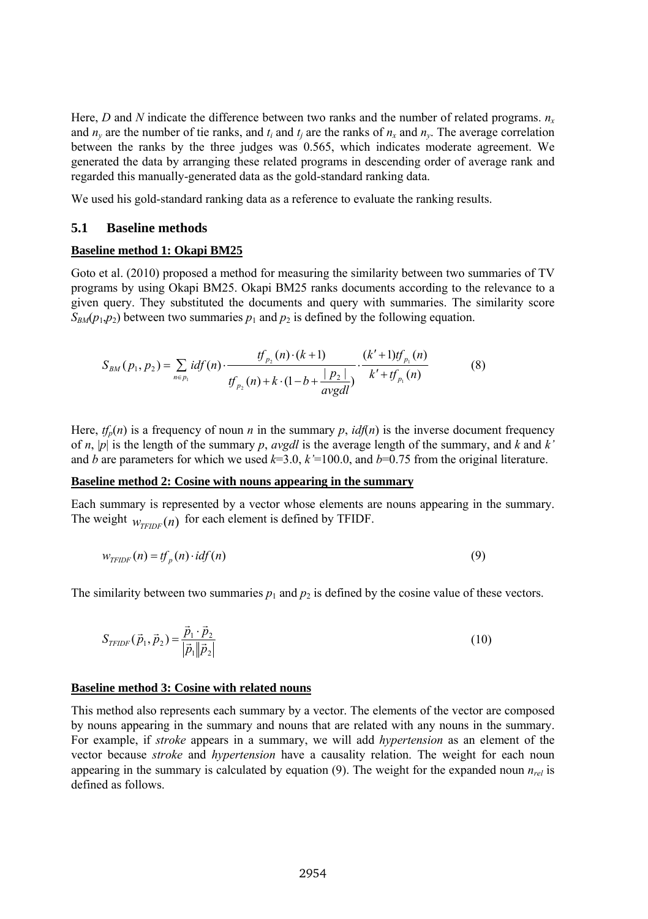Here, *D* and *N* indicate the difference between two ranks and the number of related programs.  $n<sub>x</sub>$ and  $n_y$  are the number of tie ranks, and  $t_i$  and  $t_j$  are the ranks of  $n_x$  and  $n_y$ . The average correlation between the ranks by the three judges was 0.565, which indicates moderate agreement. We generated the data by arranging these related programs in descending order of average rank and regarded this manually-generated data as the gold-standard ranking data.

We used his gold-standard ranking data as a reference to evaluate the ranking results.

#### **5.1 Baseline methods**

#### **Baseline method 1: Okapi BM25**

Goto et al. (2010) proposed a method for measuring the similarity between two summaries of TV programs by using Okapi BM25. Okapi BM25 ranks documents according to the relevance to a given query. They substituted the documents and query with summaries. The similarity score  $S_{BM}(p_1, p_2)$  between two summaries  $p_1$  and  $p_2$  is defined by the following equation.

$$
S_{BM}(p_1, p_2) = \sum_{n \in p_1} idf(n) \cdot \frac{tf_{p_2}(n) \cdot (k+1)}{tf_{p_2}(n) + k \cdot (1 - b + \frac{|p_2|}{avgdl})} \cdot \frac{(k' + 1)tf_{p_1}(n)}{k' + tf_{p_1}(n)}
$$
(8)

Here,  $tf_p(n)$  is a frequency of noun *n* in the summary *p*,  $idf(n)$  is the inverse document frequency of *n*,  $|p|$  is the length of the summary *p*, *avgdl* is the average length of the summary, and *k* and *k'* and *b* are parameters for which we used  $k=3.0$ ,  $k'=100.0$ , and  $b=0.75$  from the original literature.

#### **Baseline method 2: Cosine with nouns appearing in the summary**

Each summary is represented by a vector whose elements are nouns appearing in the summary. The weight  $w_{TFIDF}(n)$  for each element is defined by TFIDF.

$$
w_{TFDF}(n) = tf_p(n) \cdot idf(n)
$$
\n(9)

The similarity between two summaries  $p_1$  and  $p_2$  is defined by the cosine value of these vectors.

$$
S_{TFDF}(\vec{p}_1, \vec{p}_2) = \frac{\vec{p}_1 \cdot \vec{p}_2}{|\vec{p}_1||\vec{p}_2|}
$$
(10)

#### **Baseline method 3: Cosine with related nouns**

This method also represents each summary by a vector. The elements of the vector are composed by nouns appearing in the summary and nouns that are related with any nouns in the summary. For example, if *stroke* appears in a summary, we will add *hypertension* as an element of the vector because *stroke* and *hypertension* have a causality relation. The weight for each noun appearing in the summary is calculated by equation (9). The weight for the expanded noun  $n_{rel}$  is defined as follows.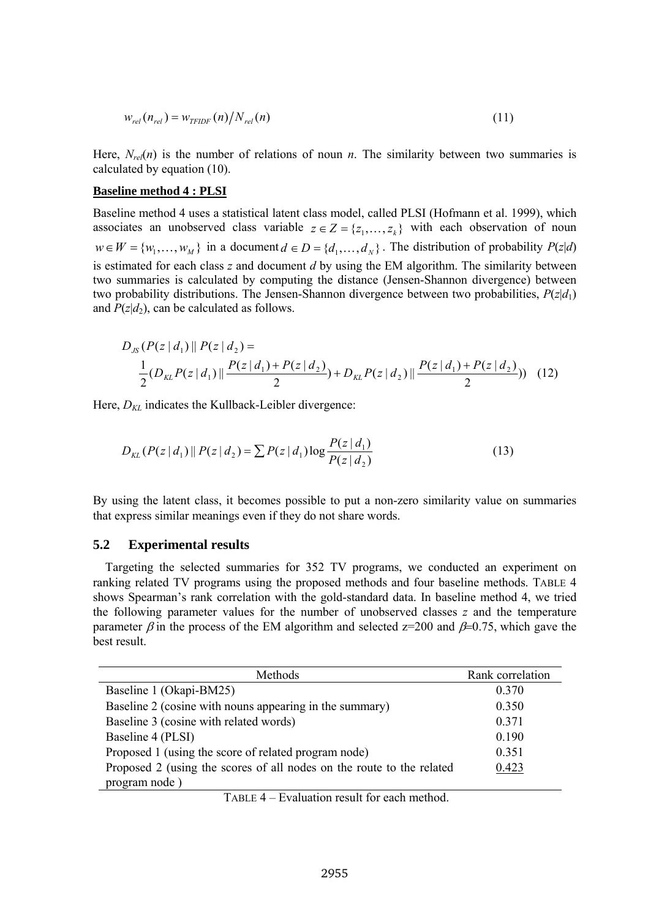$$
w_{rel}(n_{rel}) = w_{TFIDF}(n) / N_{rel}(n) \tag{11}
$$

Here,  $N_{re}(n)$  is the number of relations of noun *n*. The similarity between two summaries is calculated by equation (10).

#### **Baseline method 4 : PLSI**

Baseline method 4 uses a statistical latent class model, called PLSI (Hofmann et al. 1999), which associates an unobserved class variable  $z \in Z = \{z_1, \ldots, z_k\}$  with each observation of noun  $w \in W = \{w_1, \dots, w_M\}$  in a document  $d \in D = \{d_1, \dots, d_N\}$ . The distribution of probability  $P(z|d)$ is estimated for each class *z* and document *d* by using the EM algorithm. The similarity between two summaries is calculated by computing the distance (Jensen-Shannon divergence) between two probability distributions. The Jensen-Shannon divergence between two probabilities, *P*(*z*|*d*1) and  $P(z|d_2)$ , can be calculated as follows.

$$
D_{JS}(P(z|d_1) || P(z|d_2)) =
$$
  
\n
$$
\frac{1}{2}(D_{KL}P(z|d_1) || \frac{P(z|d_1) + P(z|d_2)}{2}) + D_{KL}P(z|d_2) || \frac{P(z|d_1) + P(z|d_2)}{2}) (12)
$$

Here,  $D_{KL}$  indicates the Kullback-Leibler divergence:

$$
D_{KL}(P(z|d_1) || P(z|d_2) = \sum P(z|d_1) \log \frac{P(z|d_1)}{P(z|d_2)}
$$
(13)

By using the latent class, it becomes possible to put a non-zero similarity value on summaries that express similar meanings even if they do not share words.

#### **5.2 Experimental results**

Targeting the selected summaries for 352 TV programs, we conducted an experiment on ranking related TV programs using the proposed methods and four baseline methods. TABLE 4 shows Spearman's rank correlation with the gold-standard data. In baseline method 4, we tried the following parameter values for the number of unobserved classes *z* and the temperature parameter  $\beta$  in the process of the EM algorithm and selected z=200 and  $\beta$ =0.75, which gave the best result.

| Methods                                                               | Rank correlation |  |
|-----------------------------------------------------------------------|------------------|--|
| Baseline 1 (Okapi-BM25)                                               | 0.370            |  |
| Baseline 2 (cosine with nouns appearing in the summary)               | 0.350            |  |
| Baseline 3 (cosine with related words)                                | 0.371            |  |
| Baseline 4 (PLSI)                                                     | 0.190            |  |
| Proposed 1 (using the score of related program node)                  | 0.351            |  |
| Proposed 2 (using the scores of all nodes on the route to the related | 0.423            |  |
| program node)                                                         |                  |  |

TABLE 4 – Evaluation result for each method.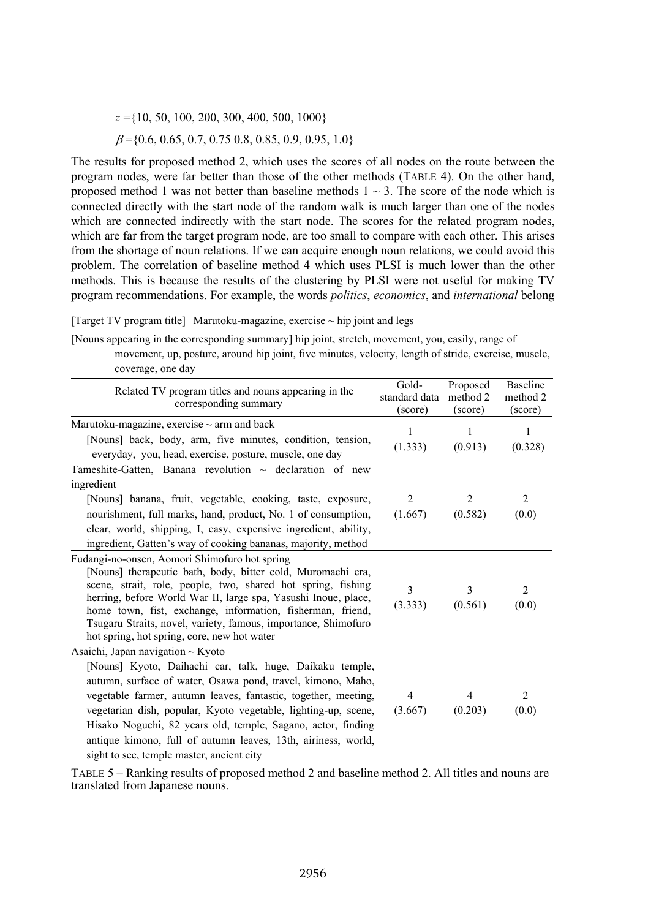*z* ={10, 50, 100, 200, 300, 400, 500, 1000}  $\beta$ ={0.6, 0.65, 0.7, 0.75 0.8, 0.85, 0.9, 0.95, 1.0}

The results for proposed method 2, which uses the scores of all nodes on the route between the program nodes, were far better than those of the other methods (TABLE 4). On the other hand, proposed method 1 was not better than baseline methods  $1 \sim 3$ . The score of the node which is connected directly with the start node of the random walk is much larger than one of the nodes which are connected indirectly with the start node. The scores for the related program nodes, which are far from the target program node, are too small to compare with each other. This arises from the shortage of noun relations. If we can acquire enough noun relations, we could avoid this problem. The correlation of baseline method 4 which uses PLSI is much lower than the other methods. This is because the results of the clustering by PLSI were not useful for making TV program recommendations. For example, the words *politics*, *economics*, and *international* belong

[Target TV program title] Marutoku-magazine, exercise  $\sim$  hip joint and legs

[Nouns appearing in the corresponding summary] hip joint, stretch, movement, you, easily, range of movement, up, posture, around hip joint, five minutes, velocity, length of stride, exercise, muscle, coverage, one day

| Related TV program titles and nouns appearing in the<br>corresponding summary                                                                                                                                                                                                                                                                                                                                                                                                       | Gold-<br>standard data<br>(score) | Proposed<br>method 2<br>(score) | <b>Baseline</b><br>method 2<br>(score) |
|-------------------------------------------------------------------------------------------------------------------------------------------------------------------------------------------------------------------------------------------------------------------------------------------------------------------------------------------------------------------------------------------------------------------------------------------------------------------------------------|-----------------------------------|---------------------------------|----------------------------------------|
| Marutoku-magazine, exercise $\sim$ arm and back<br>[Nouns] back, body, arm, five minutes, condition, tension,<br>everyday, you, head, exercise, posture, muscle, one day                                                                                                                                                                                                                                                                                                            | 1<br>(1.333)                      | 1<br>(0.913)                    | 1<br>(0.328)                           |
| Tameshite-Gatten, Banana revolution $\sim$ declaration of new<br>ingredient<br>[Nouns] banana, fruit, vegetable, cooking, taste, exposure,<br>nourishment, full marks, hand, product, No. 1 of consumption,<br>clear, world, shipping, I, easy, expensive ingredient, ability,<br>ingredient, Gatten's way of cooking bananas, majority, method                                                                                                                                     | $\overline{2}$<br>(1.667)         | 2<br>(0.582)                    | 2<br>(0.0)                             |
| Fudangi-no-onsen, Aomori Shimofuro hot spring<br>[Nouns] therapeutic bath, body, bitter cold, Muromachi era,<br>scene, strait, role, people, two, shared hot spring, fishing<br>herring, before World War II, large spa, Yasushi Inoue, place,<br>home town, fist, exchange, information, fisherman, friend,<br>Tsugaru Straits, novel, variety, famous, importance, Shimofuro<br>hot spring, hot spring, core, new hot water                                                       | 3<br>(3.333)                      | 3<br>(0.561)                    | $\mathfrak{D}$<br>(0.0)                |
| Asaichi, Japan navigation $\sim$ Kyoto<br>[Nouns] Kyoto, Daihachi car, talk, huge, Daikaku temple,<br>autumn, surface of water, Osawa pond, travel, kimono, Maho,<br>vegetable farmer, autumn leaves, fantastic, together, meeting,<br>vegetarian dish, popular, Kyoto vegetable, lighting-up, scene,<br>Hisako Noguchi, 82 years old, temple, Sagano, actor, finding<br>antique kimono, full of autumn leaves, 13th, airiness, world,<br>sight to see, temple master, ancient city | $\overline{4}$<br>(3.667)         | 4<br>(0.203)                    | $\mathfrak{D}$<br>(0.0)                |

TABLE 5 – Ranking results of proposed method 2 and baseline method 2. All titles and nouns are translated from Japanese nouns.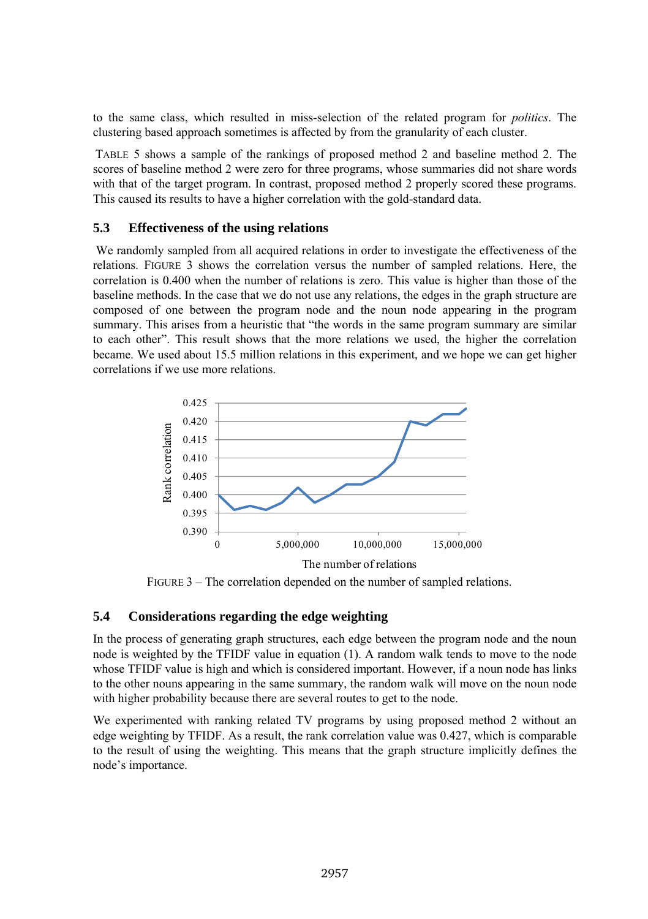to the same class, which resulted in miss-selection of the related program for *politics*. The clustering based approach sometimes is affected by from the granularity of each cluster.

TABLE 5 shows a sample of the rankings of proposed method 2 and baseline method 2. The scores of baseline method 2 were zero for three programs, whose summaries did not share words with that of the target program. In contrast, proposed method 2 properly scored these programs. This caused its results to have a higher correlation with the gold-standard data.

#### **5.3 Effectiveness of the using relations**

We randomly sampled from all acquired relations in order to investigate the effectiveness of the relations. FIGURE 3 shows the correlation versus the number of sampled relations. Here, the correlation is 0.400 when the number of relations is zero. This value is higher than those of the baseline methods. In the case that we do not use any relations, the edges in the graph structure are composed of one between the program node and the noun node appearing in the program summary. This arises from a heuristic that "the words in the same program summary are similar to each other". This result shows that the more relations we used, the higher the correlation became. We used about 15.5 million relations in this experiment, and we hope we can get higher correlations if we use more relations.



FIGURE 3 – The correlation depended on the number of sampled relations.

## **5.4 Considerations regarding the edge weighting**

In the process of generating graph structures, each edge between the program node and the noun node is weighted by the TFIDF value in equation (1). A random walk tends to move to the node whose TFIDF value is high and which is considered important. However, if a noun node has links to the other nouns appearing in the same summary, the random walk will move on the noun node with higher probability because there are several routes to get to the node.

We experimented with ranking related TV programs by using proposed method 2 without an edge weighting by TFIDF. As a result, the rank correlation value was 0.427, which is comparable to the result of using the weighting. This means that the graph structure implicitly defines the node's importance.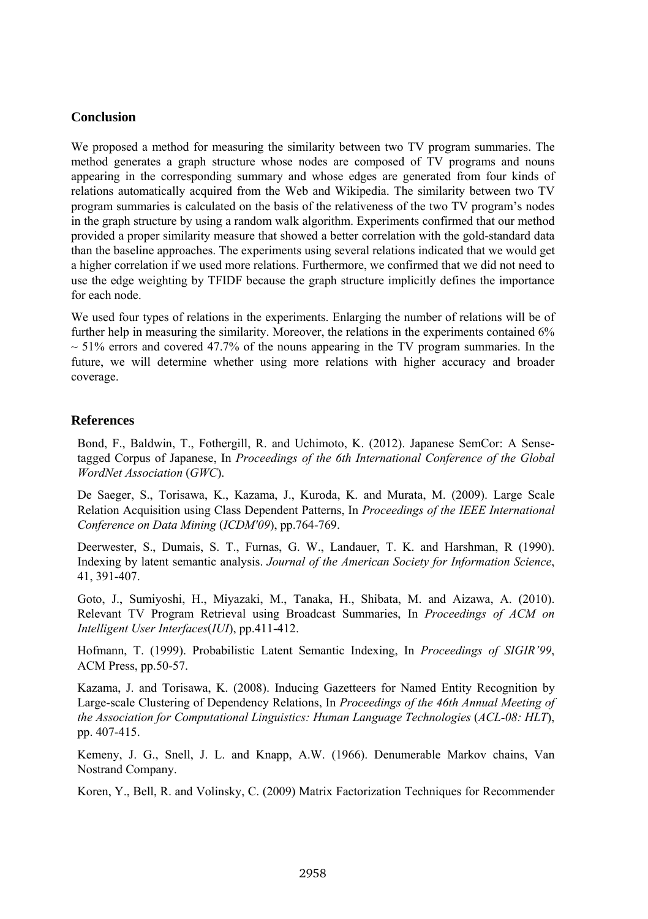## **Conclusion**

We proposed a method for measuring the similarity between two TV program summaries. The method generates a graph structure whose nodes are composed of TV programs and nouns appearing in the corresponding summary and whose edges are generated from four kinds of relations automatically acquired from the Web and Wikipedia. The similarity between two TV program summaries is calculated on the basis of the relativeness of the two TV program's nodes in the graph structure by using a random walk algorithm. Experiments confirmed that our method provided a proper similarity measure that showed a better correlation with the gold-standard data than the baseline approaches. The experiments using several relations indicated that we would get a higher correlation if we used more relations. Furthermore, we confirmed that we did not need to use the edge weighting by TFIDF because the graph structure implicitly defines the importance for each node.

We used four types of relations in the experiments. Enlarging the number of relations will be of further help in measuring the similarity. Moreover, the relations in the experiments contained 6%  $\sim$  51% errors and covered 47.7% of the nouns appearing in the TV program summaries. In the future, we will determine whether using more relations with higher accuracy and broader coverage.

## **References**

Bond, F., Baldwin, T., Fothergill, R. and Uchimoto, K. (2012). Japanese SemCor: A Sensetagged Corpus of Japanese, In *Proceedings of the 6th International Conference of the Global WordNet Association* (*GWC*).

De Saeger, S., Torisawa, K., Kazama, J., Kuroda, K. and Murata, M. (2009). Large Scale Relation Acquisition using Class Dependent Patterns, In *Proceedings of the IEEE International Conference on Data Mining* (*ICDM'09*), pp.764-769.

Deerwester, S., Dumais, S. T., Furnas, G. W., Landauer, T. K. and Harshman, R (1990). Indexing by latent semantic analysis. *Journal of the American Society for Information Science*, 41, 391-407.

Goto, J., Sumiyoshi, H., Miyazaki, M., Tanaka, H., Shibata, M. and Aizawa, A. (2010). Relevant TV Program Retrieval using Broadcast Summaries, In *Proceedings of ACM on Intelligent User Interfaces*(*IUI*), pp.411-412.

Hofmann, T. (1999). Probabilistic Latent Semantic Indexing, In *Proceedings of SIGIR'99*, ACM Press, pp.50-57.

Kazama, J. and Torisawa, K. (2008). Inducing Gazetteers for Named Entity Recognition by Large-scale Clustering of Dependency Relations, In *Proceedings of the 46th Annual Meeting of the Association for Computational Linguistics: Human Language Technologies* (*ACL-08: HLT*), pp. 407-415.

Kemeny, J. G., Snell, J. L. and Knapp, A.W. (1966). Denumerable Markov chains, Van Nostrand Company.

Koren, Y., Bell, R. and Volinsky, C. (2009) Matrix Factorization Techniques for Recommender